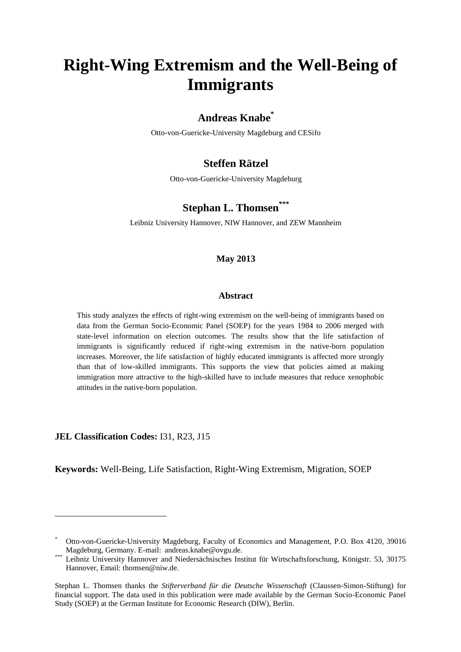# **Right-Wing Extremism and the Well-Being of Immigrants**

# **Andreas Knabe\***

Otto-von-Guericke-University Magdeburg and CESifo

# **Steffen Rätzel**

Otto-von-Guericke-University Magdeburg

# **Stephan L. Thomsen\*\*\***

Leibniz University Hannover, NIW Hannover, and ZEW Mannheim

## **May 2013**

#### **Abstract**

This study analyzes the effects of right-wing extremism on the well-being of immigrants based on data from the German Socio-Economic Panel (SOEP) for the years 1984 to 2006 merged with state-level information on election outcomes. The results show that the life satisfaction of immigrants is significantly reduced if right-wing extremism in the native-born population increases. Moreover, the life satisfaction of highly educated immigrants is affected more strongly than that of low-skilled immigrants. This supports the view that policies aimed at making immigration more attractive to the high-skilled have to include measures that reduce xenophobic attitudes in the native-born population.

**JEL Classification Codes:** I31, R23, J15

 $\overline{a}$ 

**Keywords:** Well-Being, Life Satisfaction, Right-Wing Extremism, Migration, SOEP

Otto-von-Guericke-University Magdeburg, Faculty of Economics and Management, P.O. Box 4120, 39016 Magdeburg, Germany. E-mail: andreas.knabe@ovgu.de.

Leibniz University Hannover and Niedersächsisches Institut für Wirtschaftsforschung, Königstr. 53, 30175 Hannover, Email: thomsen@niw.de.

Stephan L. Thomsen thanks the *Stifterverband für die Deutsche Wissenschaft* (Claussen-Simon-Stiftung) for financial support. The data used in this publication were made available by the German Socio-Economic Panel Study (SOEP) at the German Institute for Economic Research (DIW), Berlin.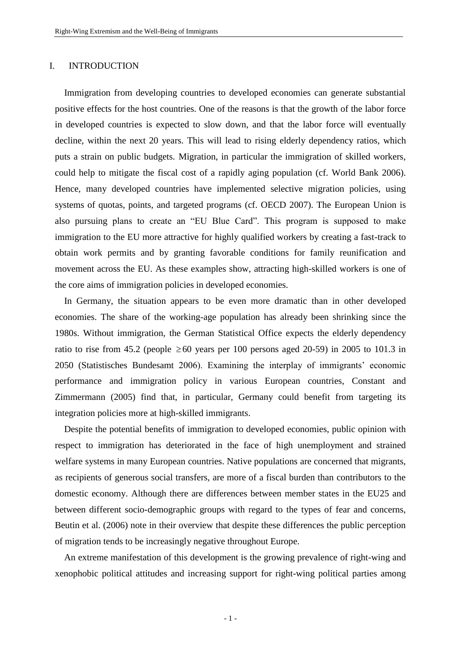# I. INTRODUCTION

Immigration from developing countries to developed economies can generate substantial positive effects for the host countries. One of the reasons is that the growth of the labor force in developed countries is expected to slow down, and that the labor force will eventually decline, within the next 20 years. This will lead to rising elderly dependency ratios, which puts a strain on public budgets. Migration, in particular the immigration of skilled workers, could help to mitigate the fiscal cost of a rapidly aging population (cf. World Bank 2006). Hence, many developed countries have implemented selective migration policies, using systems of quotas, points, and targeted programs (cf. OECD 2007). The European Union is also pursuing plans to create an "EU Blue Card". This program is supposed to make immigration to the EU more attractive for highly qualified workers by creating a fast-track to obtain work permits and by granting favorable conditions for family reunification and movement across the EU. As these examples show, attracting high-skilled workers is one of the core aims of immigration policies in developed economies.

In Germany, the situation appears to be even more dramatic than in other developed economies. The share of the working-age population has already been shrinking since the 1980s. Without immigration, the German Statistical Office expects the elderly dependency ratio to rise from 45.2 (people  $\geq 60$  years per 100 persons aged 20-59) in 2005 to 101.3 in 2050 (Statistisches Bundesamt 2006). Examining the interplay of immigrants' economic performance and immigration policy in various European countries, Constant and Zimmermann (2005) find that, in particular, Germany could benefit from targeting its integration policies more at high-skilled immigrants.

Despite the potential benefits of immigration to developed economies, public opinion with respect to immigration has deteriorated in the face of high unemployment and strained welfare systems in many European countries. Native populations are concerned that migrants, as recipients of generous social transfers, are more of a fiscal burden than contributors to the domestic economy. Although there are differences between member states in the EU25 and between different socio-demographic groups with regard to the types of fear and concerns, Beutin et al. (2006) note in their overview that despite these differences the public perception of migration tends to be increasingly negative throughout Europe.

An extreme manifestation of this development is the growing prevalence of right-wing and xenophobic political attitudes and increasing support for right-wing political parties among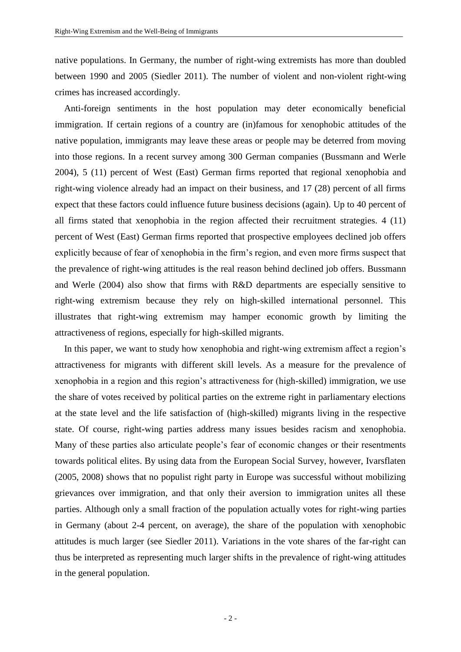native populations. In Germany, the number of right-wing extremists has more than doubled between 1990 and 2005 (Siedler 2011). The number of violent and non-violent right-wing crimes has increased accordingly.

Anti-foreign sentiments in the host population may deter economically beneficial immigration. If certain regions of a country are (in)famous for xenophobic attitudes of the native population, immigrants may leave these areas or people may be deterred from moving into those regions. In a recent survey among 300 German companies (Bussmann and Werle 2004), 5 (11) percent of West (East) German firms reported that regional xenophobia and right-wing violence already had an impact on their business, and 17 (28) percent of all firms expect that these factors could influence future business decisions (again). Up to 40 percent of all firms stated that xenophobia in the region affected their recruitment strategies. 4 (11) percent of West (East) German firms reported that prospective employees declined job offers explicitly because of fear of xenophobia in the firm's region, and even more firms suspect that the prevalence of right-wing attitudes is the real reason behind declined job offers. Bussmann and Werle (2004) also show that firms with R&D departments are especially sensitive to right-wing extremism because they rely on high-skilled international personnel. This illustrates that right-wing extremism may hamper economic growth by limiting the attractiveness of regions, especially for high-skilled migrants.

In this paper, we want to study how xenophobia and right-wing extremism affect a region's attractiveness for migrants with different skill levels. As a measure for the prevalence of xenophobia in a region and this region's attractiveness for (high-skilled) immigration, we use the share of votes received by political parties on the extreme right in parliamentary elections at the state level and the life satisfaction of (high-skilled) migrants living in the respective state. Of course, right-wing parties address many issues besides racism and xenophobia. Many of these parties also articulate people's fear of economic changes or their resentments towards political elites. By using data from the European Social Survey, however, Ivarsflaten (2005, 2008) shows that no populist right party in Europe was successful without mobilizing grievances over immigration, and that only their aversion to immigration unites all these parties. Although only a small fraction of the population actually votes for right-wing parties in Germany (about 2-4 percent, on average), the share of the population with xenophobic attitudes is much larger (see Siedler 2011). Variations in the vote shares of the far-right can thus be interpreted as representing much larger shifts in the prevalence of right-wing attitudes in the general population.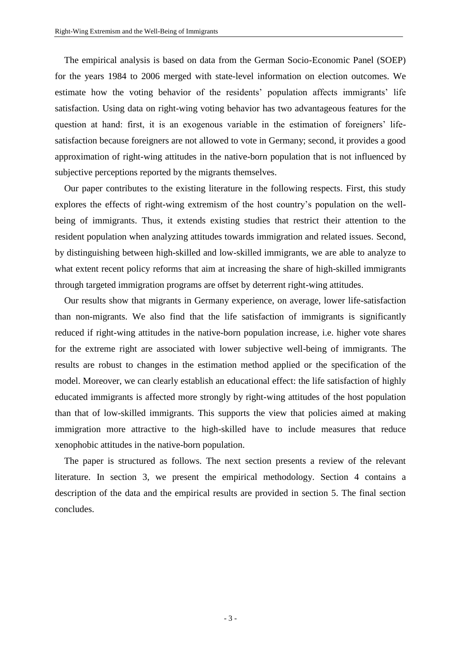The empirical analysis is based on data from the German Socio-Economic Panel (SOEP) for the years 1984 to 2006 merged with state-level information on election outcomes. We estimate how the voting behavior of the residents' population affects immigrants' life satisfaction. Using data on right-wing voting behavior has two advantageous features for the question at hand: first, it is an exogenous variable in the estimation of foreigners' lifesatisfaction because foreigners are not allowed to vote in Germany; second, it provides a good approximation of right-wing attitudes in the native-born population that is not influenced by subjective perceptions reported by the migrants themselves.

Our paper contributes to the existing literature in the following respects. First, this study explores the effects of right-wing extremism of the host country's population on the wellbeing of immigrants. Thus, it extends existing studies that restrict their attention to the resident population when analyzing attitudes towards immigration and related issues. Second, by distinguishing between high-skilled and low-skilled immigrants, we are able to analyze to what extent recent policy reforms that aim at increasing the share of high-skilled immigrants through targeted immigration programs are offset by deterrent right-wing attitudes.

Our results show that migrants in Germany experience, on average, lower life-satisfaction than non-migrants. We also find that the life satisfaction of immigrants is significantly reduced if right-wing attitudes in the native-born population increase, i.e. higher vote shares for the extreme right are associated with lower subjective well-being of immigrants. The results are robust to changes in the estimation method applied or the specification of the model. Moreover, we can clearly establish an educational effect: the life satisfaction of highly educated immigrants is affected more strongly by right-wing attitudes of the host population than that of low-skilled immigrants. This supports the view that policies aimed at making immigration more attractive to the high-skilled have to include measures that reduce xenophobic attitudes in the native-born population.

The paper is structured as follows. The next section presents a review of the relevant literature. In section 3, we present the empirical methodology. Section 4 contains a description of the data and the empirical results are provided in section 5. The final section concludes.

- 3 -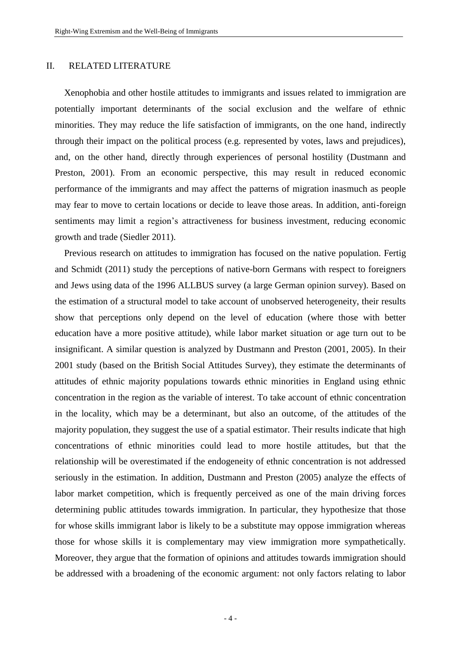# II. RELATED LITERATURE

Xenophobia and other hostile attitudes to immigrants and issues related to immigration are potentially important determinants of the social exclusion and the welfare of ethnic minorities. They may reduce the life satisfaction of immigrants, on the one hand, indirectly through their impact on the political process (e.g. represented by votes, laws and prejudices), and, on the other hand, directly through experiences of personal hostility (Dustmann and Preston, 2001). From an economic perspective, this may result in reduced economic performance of the immigrants and may affect the patterns of migration inasmuch as people may fear to move to certain locations or decide to leave those areas. In addition, anti-foreign sentiments may limit a region's attractiveness for business investment, reducing economic growth and trade (Siedler 2011).

Previous research on attitudes to immigration has focused on the native population. Fertig and Schmidt (2011) study the perceptions of native-born Germans with respect to foreigners and Jews using data of the 1996 ALLBUS survey (a large German opinion survey). Based on the estimation of a structural model to take account of unobserved heterogeneity, their results show that perceptions only depend on the level of education (where those with better education have a more positive attitude), while labor market situation or age turn out to be insignificant. A similar question is analyzed by Dustmann and Preston (2001, 2005). In their 2001 study (based on the British Social Attitudes Survey), they estimate the determinants of attitudes of ethnic majority populations towards ethnic minorities in England using ethnic concentration in the region as the variable of interest. To take account of ethnic concentration in the locality, which may be a determinant, but also an outcome, of the attitudes of the majority population, they suggest the use of a spatial estimator. Their results indicate that high concentrations of ethnic minorities could lead to more hostile attitudes, but that the relationship will be overestimated if the endogeneity of ethnic concentration is not addressed seriously in the estimation. In addition, Dustmann and Preston (2005) analyze the effects of labor market competition, which is frequently perceived as one of the main driving forces determining public attitudes towards immigration. In particular, they hypothesize that those for whose skills immigrant labor is likely to be a substitute may oppose immigration whereas those for whose skills it is complementary may view immigration more sympathetically. Moreover, they argue that the formation of opinions and attitudes towards immigration should be addressed with a broadening of the economic argument: not only factors relating to labor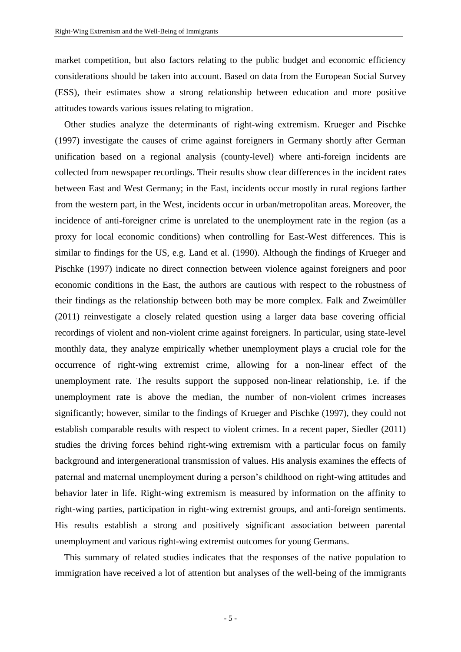market competition, but also factors relating to the public budget and economic efficiency considerations should be taken into account. Based on data from the European Social Survey (ESS), their estimates show a strong relationship between education and more positive attitudes towards various issues relating to migration.

Other studies analyze the determinants of right-wing extremism. Krueger and Pischke (1997) investigate the causes of crime against foreigners in Germany shortly after German unification based on a regional analysis (county-level) where anti-foreign incidents are collected from newspaper recordings. Their results show clear differences in the incident rates between East and West Germany; in the East, incidents occur mostly in rural regions farther from the western part, in the West, incidents occur in urban/metropolitan areas. Moreover, the incidence of anti-foreigner crime is unrelated to the unemployment rate in the region (as a proxy for local economic conditions) when controlling for East-West differences. This is similar to findings for the US, e.g. Land et al. (1990). Although the findings of Krueger and Pischke (1997) indicate no direct connection between violence against foreigners and poor economic conditions in the East, the authors are cautious with respect to the robustness of their findings as the relationship between both may be more complex. Falk and Zweimüller (2011) reinvestigate a closely related question using a larger data base covering official recordings of violent and non-violent crime against foreigners. In particular, using state-level monthly data, they analyze empirically whether unemployment plays a crucial role for the occurrence of right-wing extremist crime, allowing for a non-linear effect of the unemployment rate. The results support the supposed non-linear relationship, i.e. if the unemployment rate is above the median, the number of non-violent crimes increases significantly; however, similar to the findings of Krueger and Pischke (1997), they could not establish comparable results with respect to violent crimes. In a recent paper, Siedler (2011) studies the driving forces behind right-wing extremism with a particular focus on family background and intergenerational transmission of values. His analysis examines the effects of paternal and maternal unemployment during a person's childhood on right-wing attitudes and behavior later in life. Right-wing extremism is measured by information on the affinity to right-wing parties, participation in right-wing extremist groups, and anti-foreign sentiments. His results establish a strong and positively significant association between parental unemployment and various right-wing extremist outcomes for young Germans.

This summary of related studies indicates that the responses of the native population to immigration have received a lot of attention but analyses of the well-being of the immigrants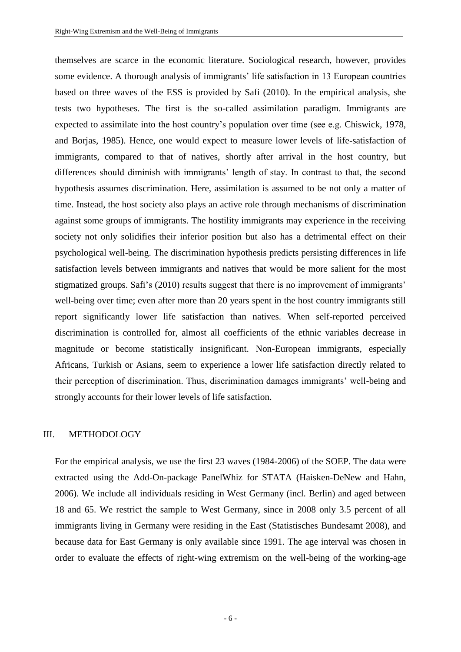themselves are scarce in the economic literature. Sociological research, however, provides some evidence. A thorough analysis of immigrants' life satisfaction in 13 European countries based on three waves of the ESS is provided by Safi (2010). In the empirical analysis, she tests two hypotheses. The first is the so-called assimilation paradigm. Immigrants are expected to assimilate into the host country's population over time (see e.g. Chiswick, 1978, and Borjas, 1985). Hence, one would expect to measure lower levels of life-satisfaction of immigrants, compared to that of natives, shortly after arrival in the host country, but differences should diminish with immigrants' length of stay. In contrast to that, the second hypothesis assumes discrimination. Here, assimilation is assumed to be not only a matter of time. Instead, the host society also plays an active role through mechanisms of discrimination against some groups of immigrants. The hostility immigrants may experience in the receiving society not only solidifies their inferior position but also has a detrimental effect on their psychological well-being. The discrimination hypothesis predicts persisting differences in life satisfaction levels between immigrants and natives that would be more salient for the most stigmatized groups. Safi's (2010) results suggest that there is no improvement of immigrants' well-being over time; even after more than 20 years spent in the host country immigrants still report significantly lower life satisfaction than natives. When self-reported perceived discrimination is controlled for, almost all coefficients of the ethnic variables decrease in magnitude or become statistically insignificant. Non-European immigrants, especially Africans, Turkish or Asians, seem to experience a lower life satisfaction directly related to their perception of discrimination. Thus, discrimination damages immigrants' well-being and strongly accounts for their lower levels of life satisfaction.

#### III. METHODOLOGY

For the empirical analysis, we use the first 23 waves (1984-2006) of the SOEP. The data were extracted using the Add-On-package PanelWhiz for STATA (Haisken-DeNew and Hahn, 2006). We include all individuals residing in West Germany (incl. Berlin) and aged between 18 and 65. We restrict the sample to West Germany, since in 2008 only 3.5 percent of all immigrants living in Germany were residing in the East (Statistisches Bundesamt 2008), and because data for East Germany is only available since 1991. The age interval was chosen in order to evaluate the effects of right-wing extremism on the well-being of the working-age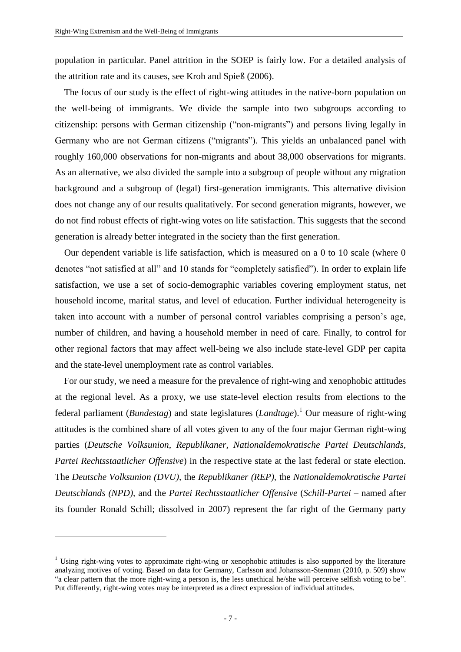$\overline{a}$ 

population in particular. Panel attrition in the SOEP is fairly low. For a detailed analysis of the attrition rate and its causes, see Kroh and Spieß (2006).

The focus of our study is the effect of right-wing attitudes in the native-born population on the well-being of immigrants. We divide the sample into two subgroups according to citizenship: persons with German citizenship ("non-migrants") and persons living legally in Germany who are not German citizens ("migrants"). This yields an unbalanced panel with roughly 160,000 observations for non-migrants and about 38,000 observations for migrants. As an alternative, we also divided the sample into a subgroup of people without any migration background and a subgroup of (legal) first-generation immigrants. This alternative division does not change any of our results qualitatively. For second generation migrants, however, we do not find robust effects of right-wing votes on life satisfaction. This suggests that the second generation is already better integrated in the society than the first generation.

Our dependent variable is life satisfaction, which is measured on a 0 to 10 scale (where 0 denotes "not satisfied at all" and 10 stands for "completely satisfied"). In order to explain life satisfaction, we use a set of socio-demographic variables covering employment status, net household income, marital status, and level of education. Further individual heterogeneity is taken into account with a number of personal control variables comprising a person's age, number of children, and having a household member in need of care. Finally, to control for other regional factors that may affect well-being we also include state-level GDP per capita and the state-level unemployment rate as control variables.

For our study, we need a measure for the prevalence of right-wing and xenophobic attitudes at the regional level. As a proxy, we use state-level election results from elections to the federal parliament (*Bundestag*) and state legislatures (*Landtage*).<sup>1</sup> Our measure of right-wing attitudes is the combined share of all votes given to any of the four major German right-wing parties (*Deutsche Volksunion, Republikaner, Nationaldemokratische Partei Deutschlands, Partei Rechtsstaatlicher Offensive*) in the respective state at the last federal or state election. The *Deutsche Volksunion (DVU),* the *Republikaner (REP),* the *Nationaldemokratische Partei Deutschlands (NPD),* and the *Partei Rechtsstaatlicher Offensive* (*Schill*-*Partei* – named after its founder Ronald Schill; dissolved in 2007) represent the far right of the Germany party

<sup>&</sup>lt;sup>1</sup> Using right-wing votes to approximate right-wing or xenophobic attitudes is also supported by the literature analyzing motives of voting. Based on data for Germany, Carlsson and Johansson-Stenman (2010, p. 509) show "a clear pattern that the more right-wing a person is, the less unethical he/she will perceive selfish voting to be". Put differently, right-wing votes may be interpreted as a direct expression of individual attitudes.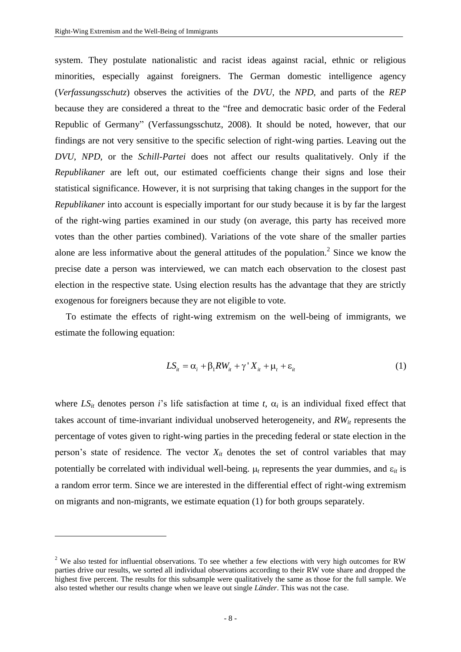$\overline{a}$ 

system. They postulate nationalistic and racist ideas against racial, ethnic or religious minorities, especially against foreigners. The German domestic intelligence agency (*Verfassungsschutz*) observes the activities of the *DVU*, the *NPD*, and parts of the *REP*  because they are considered a threat to the "free and democratic basic order of the Federal Republic of Germany" (Verfassungsschutz, 2008). It should be noted, however, that our findings are not very sensitive to the specific selection of right-wing parties. Leaving out the *DVU*, *NPD*, or the *Schill-Partei* does not affect our results qualitatively. Only if the *Republikaner* are left out, our estimated coefficients change their signs and lose their statistical significance. However, it is not surprising that taking changes in the support for the *Republikaner* into account is especially important for our study because it is by far the largest of the right-wing parties examined in our study (on average, this party has received more votes than the other parties combined). Variations of the vote share of the smaller parties alone are less informative about the general attitudes of the population.<sup>2</sup> Since we know the precise date a person was interviewed, we can match each observation to the closest past election in the respective state. Using election results has the advantage that they are strictly exogenous for foreigners because they are not eligible to vote.

To estimate the effects of right-wing extremism on the well-being of immigrants, we estimate the following equation:

$$
LS_{it} = \alpha_i + \beta_1 RW_{it} + \gamma' X_{it} + \mu_t + \varepsilon_{it}
$$
 (1)

where  $LS_{it}$  denotes person *i*'s life satisfaction at time *t*,  $\alpha_i$  is an individual fixed effect that takes account of time-invariant individual unobserved heterogeneity, and  $RW_{it}$  represents the percentage of votes given to right-wing parties in the preceding federal or state election in the person's state of residence. The vector  $X_{it}$  denotes the set of control variables that may potentially be correlated with individual well-being.  $\mu_t$  represents the year dummies, and  $\varepsilon_{it}$  is a random error term. Since we are interested in the differential effect of right-wing extremism on migrants and non-migrants, we estimate equation (1) for both groups separately.

<sup>&</sup>lt;sup>2</sup> We also tested for influential observations. To see whether a few elections with very high outcomes for RW parties drive our results, we sorted all individual observations according to their RW vote share and dropped the highest five percent. The results for this subsample were qualitatively the same as those for the full sample. We also tested whether our results change when we leave out single *Länder*. This was not the case.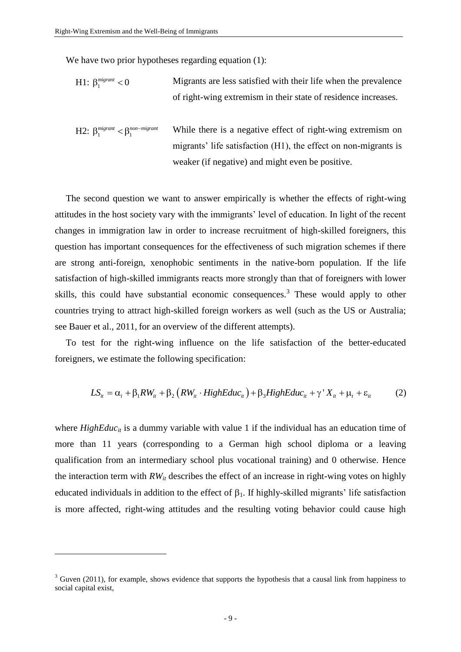We have two prior hypotheses regarding equation (1):

- H1:  $\beta_1^{migrant} < 0$ Migrants are less satisfied with their life when the prevalence of right-wing extremism in their state of residence increases.
- H2:  $\beta_1^{migrant} < \beta_1^n$  $\beta_1^{migrant} < \beta_1^{non-migrant}$ While there is a negative effect of right-wing extremism on migrants' life satisfaction (H1), the effect on non-migrants is weaker (if negative) and might even be positive.

The second question we want to answer empirically is whether the effects of right-wing attitudes in the host society vary with the immigrants' level of education. In light of the recent changes in immigration law in order to increase recruitment of high-skilled foreigners, this question has important consequences for the effectiveness of such migration schemes if there are strong anti-foreign, xenophobic sentiments in the native-born population. If the life satisfaction of high-skilled immigrants reacts more strongly than that of foreigners with lower skills, this could have substantial economic consequences.<sup>3</sup> These would apply to other countries trying to attract high-skilled foreign workers as well (such as the US or Australia; see Bauer et al., 2011, for an overview of the different attempts).

To test for the right-wing influence on the life satisfaction of the better-educated foreigners, we estimate the following specification:

s, we estimate the following specification:  
\n
$$
LS_{it} = \alpha_i + \beta_1 RW_{it} + \beta_2 (RW_{it} \cdot HighEduc_{it}) + \beta_3 HighEduc_{it} + \gamma' X_{it} + \mu_t + \varepsilon_{it}
$$
\n(2)

where *HighEduc<sub>it</sub>* is a dummy variable with value 1 if the individual has an education time of more than 11 years (corresponding to a German high school diploma or a leaving qualification from an intermediary school plus vocational training) and 0 otherwise. Hence the interaction term with  $RW_{it}$  describes the effect of an increase in right-wing votes on highly educated individuals in addition to the effect of  $\beta_1$ . If highly-skilled migrants' life satisfaction is more affected, right-wing attitudes and the resulting voting behavior could cause high

 $\overline{a}$ 

<sup>&</sup>lt;sup>3</sup> Guven (2011), for example, shows evidence that supports the hypothesis that a causal link from happiness to social capital exist,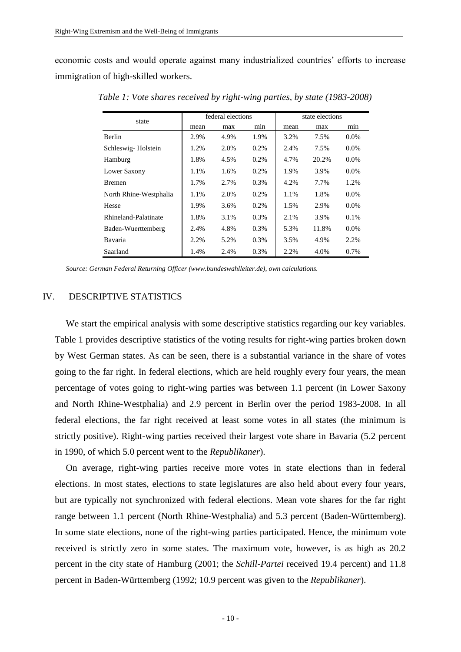economic costs and would operate against many industrialized countries' efforts to increase immigration of high-skilled workers.

|                        |              | federal elections |      | state elections |       |         |  |  |  |  |
|------------------------|--------------|-------------------|------|-----------------|-------|---------|--|--|--|--|
| state                  | mean         | max               | min  | mean            | max   | min     |  |  |  |  |
| <b>Berlin</b>          | 2.9%         | 4.9%              | 1.9% | 3.2%            | 7.5%  | $0.0\%$ |  |  |  |  |
| Schleswig-Holstein     | 1.2%         | 2.0%              | 0.2% | 2.4%            | 7.5%  | $0.0\%$ |  |  |  |  |
| Hamburg                | 1.8%<br>4.5% |                   | 0.2% | 4.7%            | 20.2% | $0.0\%$ |  |  |  |  |
| Lower Saxony           | 1.1%         | 1.6%              | 0.2% | 1.9%            | 3.9%  | $0.0\%$ |  |  |  |  |
| <b>Bremen</b>          | 1.7%         | 2.7%              | 0.3% | 4.2%            | 7.7%  | 1.2%    |  |  |  |  |
| North Rhine-Westphalia | 1.1%         | 2.0%              | 0.2% | 1.1%            | 1.8%  | $0.0\%$ |  |  |  |  |
| Hesse                  | 1.9%         | 3.6%              | 0.2% | 1.5%            | 2.9%  | $0.0\%$ |  |  |  |  |
| Rhineland-Palatinate   | 1.8%         | 3.1%              | 0.3% | 2.1%            | 3.9%  | 0.1%    |  |  |  |  |
| Baden-Wuerttemberg     | 2.4%         | 4.8%              | 0.3% | 5.3%            | 11.8% | $0.0\%$ |  |  |  |  |
| Bavaria                | 2.2%         | 5.2%              | 0.3% | 3.5%            | 4.9%  | 2.2%    |  |  |  |  |
| Saarland               | 1.4%         | 2.4%              | 0.3% | 2.2%            | 4.0%  | $0.7\%$ |  |  |  |  |

*Table 1: Vote shares received by right-wing parties, by state (1983-2008)*

*Source: German Federal Returning Officer (www.bundeswahlleiter.de), own calculations.*

#### IV. DESCRIPTIVE STATISTICS

We start the empirical analysis with some descriptive statistics regarding our key variables. Table 1 provides descriptive statistics of the voting results for right-wing parties broken down by West German states. As can be seen, there is a substantial variance in the share of votes going to the far right. In federal elections, which are held roughly every four years, the mean percentage of votes going to right-wing parties was between 1.1 percent (in Lower Saxony and North Rhine-Westphalia) and 2.9 percent in Berlin over the period 1983-2008. In all federal elections, the far right received at least some votes in all states (the minimum is strictly positive). Right-wing parties received their largest vote share in Bavaria (5.2 percent in 1990, of which 5.0 percent went to the *Republikaner*).

On average, right-wing parties receive more votes in state elections than in federal elections. In most states, elections to state legislatures are also held about every four years, but are typically not synchronized with federal elections. Mean vote shares for the far right range between 1.1 percent (North Rhine-Westphalia) and 5.3 percent (Baden-Württemberg). In some state elections, none of the right-wing parties participated. Hence, the minimum vote received is strictly zero in some states. The maximum vote, however, is as high as 20.2 percent in the city state of Hamburg (2001; the *Schill-Partei* received 19.4 percent) and 11.8 percent in Baden-Württemberg (1992; 10.9 percent was given to the *Republikaner*).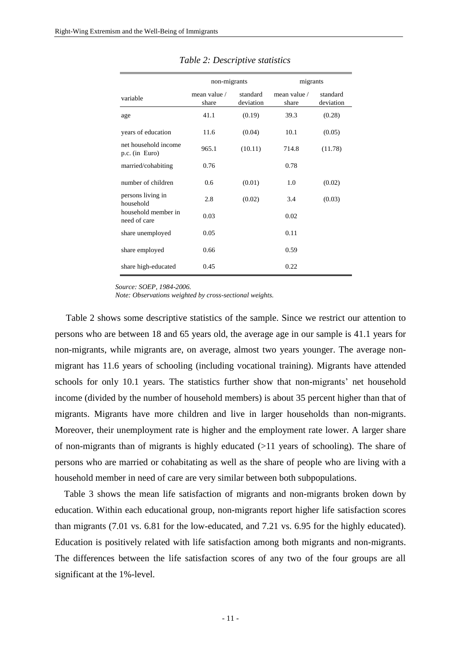|                                        | non-migrants          |                       | migrants              |                       |
|----------------------------------------|-----------------------|-----------------------|-----------------------|-----------------------|
| variable                               | mean value /<br>share | standard<br>deviation | mean value /<br>share | standard<br>deviation |
| age                                    | 41.1                  | (0.19)                | 39.3                  | (0.28)                |
| years of education                     | 11.6                  | (0.04)                | 10.1                  | (0.05)                |
| net household income<br>p.c. (in Euro) | 965.1                 | (10.11)               | 714.8                 | (11.78)               |
| married/cohabiting                     | 0.76                  |                       | 0.78                  |                       |
| number of children                     | 0.6                   | (0.01)                | 1.0                   | (0.02)                |
| persons living in<br>household         | 2.8                   | (0.02)                | 3.4                   | (0.03)                |
| household member in<br>need of care    | 0.03                  |                       | 0.02                  |                       |
| share unemployed                       | 0.05                  |                       | 0.11                  |                       |
| share employed                         | 0.66                  |                       | 0.59                  |                       |
| share high-educated                    | 0.45                  |                       | 0.22                  |                       |

#### *Table 2: Descriptive statistics*

*Source: SOEP, 1984-2006.*

*Note: Observations weighted by cross-sectional weights.*

Table 2 shows some descriptive statistics of the sample. Since we restrict our attention to persons who are between 18 and 65 years old, the average age in our sample is 41.1 years for non-migrants, while migrants are, on average, almost two years younger. The average nonmigrant has 11.6 years of schooling (including vocational training). Migrants have attended schools for only 10.1 years. The statistics further show that non-migrants' net household income (divided by the number of household members) is about 35 percent higher than that of migrants. Migrants have more children and live in larger households than non-migrants. Moreover, their unemployment rate is higher and the employment rate lower. A larger share of non-migrants than of migrants is highly educated (>11 years of schooling). The share of persons who are married or cohabitating as well as the share of people who are living with a household member in need of care are very similar between both subpopulations.

Table 3 shows the mean life satisfaction of migrants and non-migrants broken down by education. Within each educational group, non-migrants report higher life satisfaction scores than migrants (7.01 vs. 6.81 for the low-educated, and 7.21 vs. 6.95 for the highly educated). Education is positively related with life satisfaction among both migrants and non-migrants. The differences between the life satisfaction scores of any two of the four groups are all significant at the 1%-level.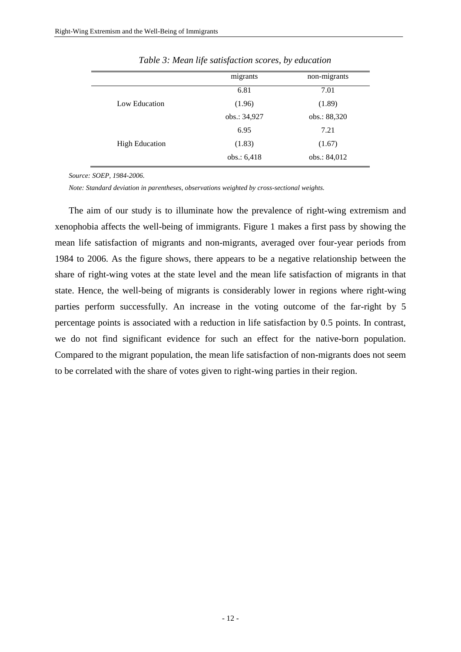|                       | migrants     | non-migrants |
|-----------------------|--------------|--------------|
|                       | 6.81         | 7.01         |
| Low Education         | (1.96)       | (1.89)       |
|                       | obs.: 34,927 | obs.: 88,320 |
|                       | 6.95         | 7.21         |
| <b>High Education</b> | (1.83)       | (1.67)       |
|                       | obs.: 6,418  | obs.: 84,012 |

*Table 3: Mean life satisfaction scores, by education*

*Source: SOEP, 1984-2006.*

*Note: Standard deviation in parentheses, observations weighted by cross-sectional weights.*

The aim of our study is to illuminate how the prevalence of right-wing extremism and xenophobia affects the well-being of immigrants. Figure 1 makes a first pass by showing the mean life satisfaction of migrants and non-migrants, averaged over four-year periods from 1984 to 2006. As the figure shows, there appears to be a negative relationship between the share of right-wing votes at the state level and the mean life satisfaction of migrants in that state. Hence, the well-being of migrants is considerably lower in regions where right-wing parties perform successfully. An increase in the voting outcome of the far-right by 5 percentage points is associated with a reduction in life satisfaction by 0.5 points. In contrast, we do not find significant evidence for such an effect for the native-born population. Compared to the migrant population, the mean life satisfaction of non-migrants does not seem to be correlated with the share of votes given to right-wing parties in their region.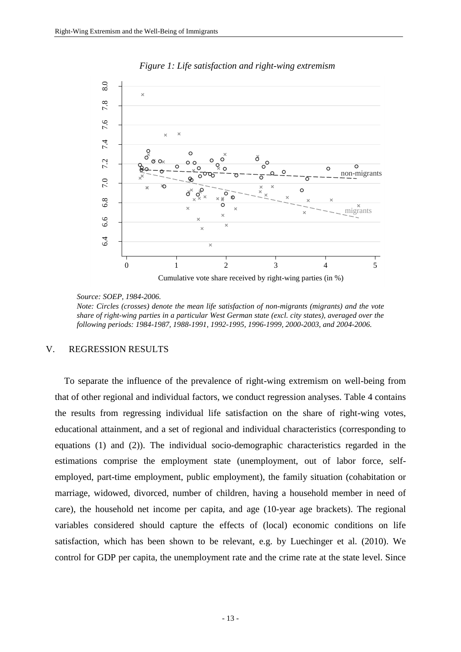

*Figure 1: Life satisfaction and right-wing extremism*



*Source: SOEP, 1984-2006.*

*Note: Circles (crosses) denote the mean life satisfaction of non-migrants (migrants) and the vote share of right-wing parties in a particular West German state (excl. city states), averaged over the following periods: 1984-1987, 1988-1991, 1992-1995, 1996-1999, 2000-2003, and 2004-2006.* 

#### V. REGRESSION RESULTS

To separate the influence of the prevalence of right-wing extremism on well-being from that of other regional and individual factors, we conduct regression analyses. Table 4 contains the results from regressing individual life satisfaction on the share of right-wing votes, educational attainment, and a set of regional and individual characteristics (corresponding to equations (1) and (2)). The individual socio-demographic characteristics regarded in the estimations comprise the employment state (unemployment, out of labor force, selfemployed, part-time employment, public employment), the family situation (cohabitation or marriage, widowed, divorced, number of children, having a household member in need of care), the household net income per capita, and age (10-year age brackets). The regional variables considered should capture the effects of (local) economic conditions on life satisfaction, which has been shown to be relevant, e.g. by Luechinger et al. (2010). We control for GDP per capita, the unemployment rate and the crime rate at the state level. Since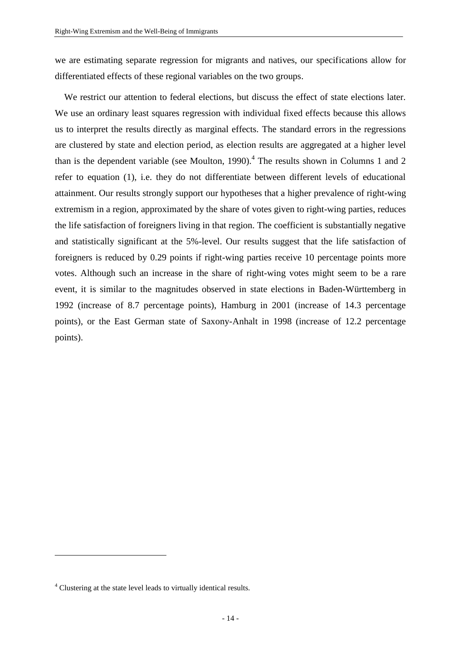we are estimating separate regression for migrants and natives, our specifications allow for differentiated effects of these regional variables on the two groups.

We restrict our attention to federal elections, but discuss the effect of state elections later. We use an ordinary least squares regression with individual fixed effects because this allows us to interpret the results directly as marginal effects. The standard errors in the regressions are clustered by state and election period, as election results are aggregated at a higher level than is the dependent variable (see Moulton, 1990).<sup>4</sup> The results shown in Columns 1 and 2 refer to equation (1), i.e. they do not differentiate between different levels of educational attainment. Our results strongly support our hypotheses that a higher prevalence of right-wing extremism in a region, approximated by the share of votes given to right-wing parties, reduces the life satisfaction of foreigners living in that region. The coefficient is substantially negative and statistically significant at the 5%-level. Our results suggest that the life satisfaction of foreigners is reduced by 0.29 points if right-wing parties receive 10 percentage points more votes. Although such an increase in the share of right-wing votes might seem to be a rare event, it is similar to the magnitudes observed in state elections in Baden-Württemberg in 1992 (increase of 8.7 percentage points), Hamburg in 2001 (increase of 14.3 percentage points), or the East German state of Saxony-Anhalt in 1998 (increase of 12.2 percentage points).

 $\overline{a}$ 

<sup>4</sup> Clustering at the state level leads to virtually identical results.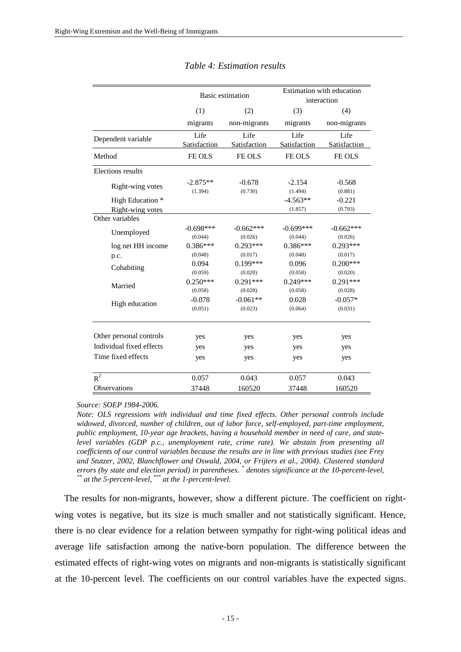|                                      |                                | <b>Basic estimation</b>          | Estimation with education<br>interaction |                                 |  |  |  |  |
|--------------------------------------|--------------------------------|----------------------------------|------------------------------------------|---------------------------------|--|--|--|--|
|                                      | (1)                            | (2)                              | (3)                                      | (4)                             |  |  |  |  |
|                                      | migrants                       | non-migrants                     | migrants                                 | non-migrants                    |  |  |  |  |
| Dependent variable                   | Life<br>Satisfaction           | Life<br>Satisfaction             | Life<br>Satisfaction                     | Life<br>Satisfaction            |  |  |  |  |
| Method                               | FE OLS                         | FE OLS                           | FE OLS                                   | FE OLS                          |  |  |  |  |
| Elections results                    |                                |                                  |                                          |                                 |  |  |  |  |
| Right-wing votes                     | $-2.875**$<br>(1.394)          | $-0.678$<br>(0.730)              | $-2.154$<br>(1.494)                      | $-0.568$<br>(0.881)             |  |  |  |  |
| High Education *<br>Right-wing votes |                                |                                  | $-4.563**$<br>(1.857)                    | $-0.221$<br>(0.793)             |  |  |  |  |
| Other variables                      |                                |                                  |                                          |                                 |  |  |  |  |
| Unemployed                           | $-0.698***$<br>(0.044)         | $-0.662***$<br>(0.026)           | $-0.699***$<br>(0.044)                   | $-0.662***$<br>(0.026)          |  |  |  |  |
| log net HH income                    | 0.386***                       | $0.293***$                       | $0.386***$                               | $0.293***$                      |  |  |  |  |
| p.c.                                 | (0.048)                        | (0.017)                          | (0.048)                                  | (0.017)                         |  |  |  |  |
| Cohabiting                           | 0.094<br>(0.059)               | $0.199***$<br>(0.020)            | 0.096<br>(0.058)                         | $0.200***$<br>(0.020)           |  |  |  |  |
| Married                              | $0.250***$                     | $0.291***$                       | $0.249***$                               | $0.291***$                      |  |  |  |  |
| High education                       | (0.058)<br>$-0.078$<br>(0.051) | (0.028)<br>$-0.061**$<br>(0.023) | (0.058)<br>0.028<br>(0.064)              | (0.028)<br>$-0.057*$<br>(0.031) |  |  |  |  |
| Other personal controls              | yes                            | yes                              | yes                                      | yes                             |  |  |  |  |
| Individual fixed effects             | yes                            | yes                              | yes                                      | yes                             |  |  |  |  |
| Time fixed effects                   | yes                            | yes                              | yes                                      | yes                             |  |  |  |  |
| $R^2$                                | 0.057                          | 0.043                            | 0.057                                    | 0.043                           |  |  |  |  |
| <b>Observations</b>                  | 37448                          | 160520                           | 37448                                    | 160520                          |  |  |  |  |

*Table 4: Estimation results*

*Source: SOEP 1984-2006.*

*Note: OLS regressions with individual and time fixed effects. Other personal controls include widowed, divorced, number of children, out of labor force, self-employed, part-time employment, public employment, 10-year age brackets, having a household member in need of care, and statelevel variables (GDP p.c., unemployment rate, crime rate). We abstain from presenting all coefficients of our control variables because the results are in line with previous studies (see Frey and Stutzer, 2002, Blanchflower and Oswald, 2004, or Frijters et al., 2004). Clustered standard errors (by state and election period) in parentheses. \* denotes significance at the 10-percent-level, \*\* at the 5-percent-level, \*\*\* at the 1-percent-level.*

The results for non-migrants, however, show a different picture. The coefficient on rightwing votes is negative, but its size is much smaller and not statistically significant. Hence, there is no clear evidence for a relation between sympathy for right-wing political ideas and average life satisfaction among the native-born population. The difference between the estimated effects of right-wing votes on migrants and non-migrants is statistically significant at the 10-percent level. The coefficients on our control variables have the expected signs.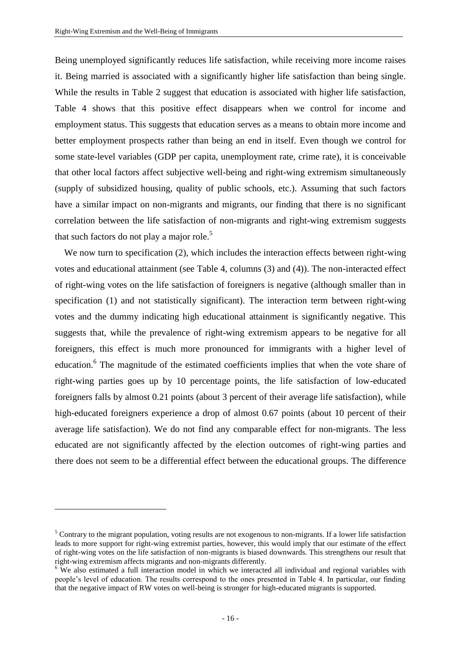$\overline{a}$ 

Being unemployed significantly reduces life satisfaction, while receiving more income raises it. Being married is associated with a significantly higher life satisfaction than being single. While the results in Table 2 suggest that education is associated with higher life satisfaction, Table 4 shows that this positive effect disappears when we control for income and employment status. This suggests that education serves as a means to obtain more income and better employment prospects rather than being an end in itself. Even though we control for some state-level variables (GDP per capita, unemployment rate, crime rate), it is conceivable that other local factors affect subjective well-being and right-wing extremism simultaneously (supply of subsidized housing, quality of public schools, etc.). Assuming that such factors have a similar impact on non-migrants and migrants, our finding that there is no significant correlation between the life satisfaction of non-migrants and right-wing extremism suggests that such factors do not play a major role.<sup>5</sup>

We now turn to specification (2), which includes the interaction effects between right-wing votes and educational attainment (see Table 4, columns (3) and (4)). The non-interacted effect of right-wing votes on the life satisfaction of foreigners is negative (although smaller than in specification (1) and not statistically significant). The interaction term between right-wing votes and the dummy indicating high educational attainment is significantly negative. This suggests that, while the prevalence of right-wing extremism appears to be negative for all foreigners, this effect is much more pronounced for immigrants with a higher level of education.<sup>6</sup> The magnitude of the estimated coefficients implies that when the vote share of right-wing parties goes up by 10 percentage points, the life satisfaction of low-educated foreigners falls by almost 0.21 points (about 3 percent of their average life satisfaction), while high-educated foreigners experience a drop of almost 0.67 points (about 10 percent of their average life satisfaction). We do not find any comparable effect for non-migrants. The less educated are not significantly affected by the election outcomes of right-wing parties and there does not seem to be a differential effect between the educational groups. The difference

 $<sup>5</sup>$  Contrary to the migrant population, voting results are not exogenous to non-migrants. If a lower life satisfaction</sup> leads to more support for right-wing extremist parties, however, this would imply that our estimate of the effect of right-wing votes on the life satisfaction of non-migrants is biased downwards. This strengthens our result that right-wing extremism affects migrants and non-migrants differently.

<sup>&</sup>lt;sup>6</sup> We also estimated a full interaction model in which we interacted all individual and regional variables with people's level of education. The results correspond to the ones presented in Table 4. In particular, our finding that the negative impact of RW votes on well-being is stronger for high-educated migrants is supported.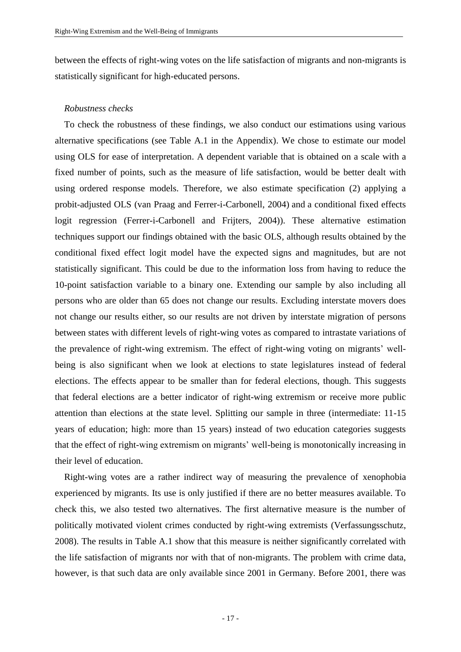between the effects of right-wing votes on the life satisfaction of migrants and non-migrants is statistically significant for high-educated persons.

#### *Robustness checks*

To check the robustness of these findings, we also conduct our estimations using various alternative specifications (see Table A.1 in the Appendix). We chose to estimate our model using OLS for ease of interpretation. A dependent variable that is obtained on a scale with a fixed number of points, such as the measure of life satisfaction, would be better dealt with using ordered response models. Therefore, we also estimate specification (2) applying a probit-adjusted OLS (van Praag and Ferrer-i-Carbonell, 2004) and a conditional fixed effects logit regression (Ferrer-i-Carbonell and Frijters, 2004)). These alternative estimation techniques support our findings obtained with the basic OLS, although results obtained by the conditional fixed effect logit model have the expected signs and magnitudes, but are not statistically significant. This could be due to the information loss from having to reduce the 10-point satisfaction variable to a binary one. Extending our sample by also including all persons who are older than 65 does not change our results. Excluding interstate movers does not change our results either, so our results are not driven by interstate migration of persons between states with different levels of right-wing votes as compared to intrastate variations of the prevalence of right-wing extremism. The effect of right-wing voting on migrants' wellbeing is also significant when we look at elections to state legislatures instead of federal elections. The effects appear to be smaller than for federal elections, though. This suggests that federal elections are a better indicator of right-wing extremism or receive more public attention than elections at the state level. Splitting our sample in three (intermediate: 11-15 years of education; high: more than 15 years) instead of two education categories suggests that the effect of right-wing extremism on migrants' well-being is monotonically increasing in their level of education.

Right-wing votes are a rather indirect way of measuring the prevalence of xenophobia experienced by migrants. Its use is only justified if there are no better measures available. To check this, we also tested two alternatives. The first alternative measure is the number of politically motivated violent crimes conducted by right-wing extremists (Verfassungsschutz, 2008). The results in Table A.1 show that this measure is neither significantly correlated with the life satisfaction of migrants nor with that of non-migrants. The problem with crime data, however, is that such data are only available since 2001 in Germany. Before 2001, there was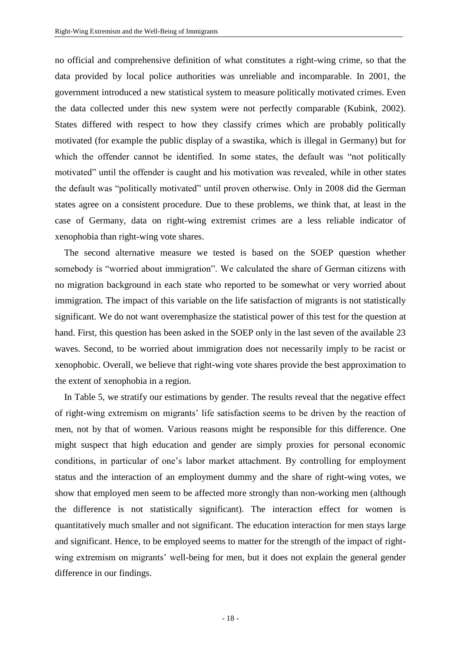no official and comprehensive definition of what constitutes a right-wing crime, so that the data provided by local police authorities was unreliable and incomparable. In 2001, the government introduced a new statistical system to measure politically motivated crimes. Even the data collected under this new system were not perfectly comparable (Kubink, 2002). States differed with respect to how they classify crimes which are probably politically motivated (for example the public display of a swastika, which is illegal in Germany) but for which the offender cannot be identified. In some states, the default was "not politically motivated" until the offender is caught and his motivation was revealed, while in other states the default was "politically motivated" until proven otherwise. Only in 2008 did the German states agree on a consistent procedure. Due to these problems, we think that, at least in the case of Germany, data on right-wing extremist crimes are a less reliable indicator of xenophobia than right-wing vote shares.

The second alternative measure we tested is based on the SOEP question whether somebody is "worried about immigration". We calculated the share of German citizens with no migration background in each state who reported to be somewhat or very worried about immigration. The impact of this variable on the life satisfaction of migrants is not statistically significant. We do not want overemphasize the statistical power of this test for the question at hand. First, this question has been asked in the SOEP only in the last seven of the available 23 waves. Second, to be worried about immigration does not necessarily imply to be racist or xenophobic. Overall, we believe that right-wing vote shares provide the best approximation to the extent of xenophobia in a region.

In Table 5, we stratify our estimations by gender. The results reveal that the negative effect of right-wing extremism on migrants' life satisfaction seems to be driven by the reaction of men, not by that of women. Various reasons might be responsible for this difference. One might suspect that high education and gender are simply proxies for personal economic conditions, in particular of one's labor market attachment. By controlling for employment status and the interaction of an employment dummy and the share of right-wing votes, we show that employed men seem to be affected more strongly than non-working men (although the difference is not statistically significant). The interaction effect for women is quantitatively much smaller and not significant. The education interaction for men stays large and significant. Hence, to be employed seems to matter for the strength of the impact of rightwing extremism on migrants' well-being for men, but it does not explain the general gender difference in our findings.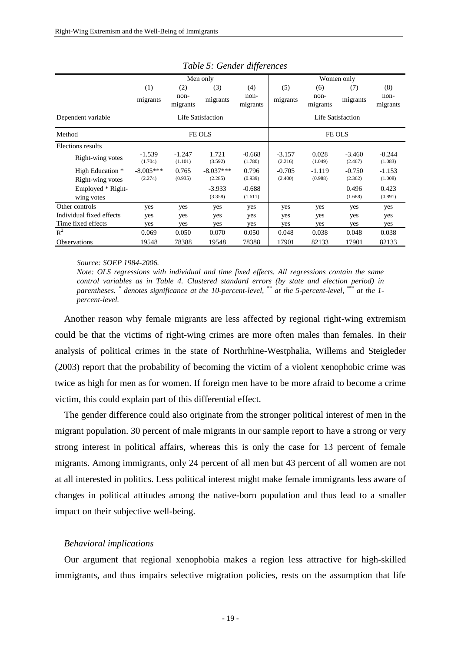|                                      |                        |                     |                        | $\boldsymbol{\mathsf{v}}\boldsymbol{\mathsf{v}}$ |                     |                     |                     |                     |  |  |  |  |
|--------------------------------------|------------------------|---------------------|------------------------|--------------------------------------------------|---------------------|---------------------|---------------------|---------------------|--|--|--|--|
|                                      |                        |                     | Men only               |                                                  |                     |                     | Women only          |                     |  |  |  |  |
|                                      | (1)                    | (2)                 | (3)                    | (4)                                              | (5)                 | (6)                 | (7)                 | (8)                 |  |  |  |  |
|                                      | migrants               | non-<br>migrants    | migrants               | non-<br>migrants                                 | migrants            | non-<br>migrants    | migrants            | non-<br>migrants    |  |  |  |  |
| Dependent variable                   |                        |                     | Life Satisfaction      |                                                  | Life Satisfaction   |                     |                     |                     |  |  |  |  |
| Method                               |                        |                     | FE OLS                 |                                                  |                     |                     | FE OLS              |                     |  |  |  |  |
| Elections results                    |                        |                     |                        |                                                  |                     |                     |                     |                     |  |  |  |  |
| Right-wing votes                     | $-1.539$<br>(1.704)    | $-1.247$<br>(1.101) | 1.721<br>(3.592)       | $-0.668$<br>(1.780)                              | $-3.157$<br>(2.216) | 0.028<br>(1.049)    | $-3.460$<br>(2.467) | $-0.244$<br>(1.083) |  |  |  |  |
| High Education *<br>Right-wing votes | $-8.005***$<br>(2.274) | 0.765<br>(0.935)    | $-8.037***$<br>(2.285) | 0.796<br>(0.939)                                 | $-0.705$<br>(2.400) | $-1.119$<br>(0.988) | $-0.750$<br>(2.362) | $-1.153$<br>(1.008) |  |  |  |  |
| Employed * Right-<br>wing votes      |                        |                     | $-3.933$<br>(3.358)    | $-0.688$<br>(1.611)                              |                     |                     | 0.496<br>(1.688)    | 0.423<br>(0.891)    |  |  |  |  |
| Other controls                       | yes                    | yes                 | yes                    | yes                                              | yes                 | yes                 | yes                 | yes                 |  |  |  |  |
| Individual fixed effects             | yes                    | yes                 | yes                    | yes                                              | yes                 | yes                 | yes                 | yes                 |  |  |  |  |
| Time fixed effects                   | yes                    | yes                 | yes                    | yes                                              | yes                 | yes                 | yes                 | yes                 |  |  |  |  |
| $R^2$                                | 0.069                  | 0.050               | 0.070                  | 0.050                                            | 0.048               | 0.038               | 0.048               | 0.038               |  |  |  |  |
| <b>Observations</b>                  | 19548                  | 78388               | 19548                  | 78388                                            | 17901               | 82133               | 17901               | 82133               |  |  |  |  |

### *Table 5: Gender differences*

#### *Source: SOEP 1984-2006.*

*Note: OLS regressions with individual and time fixed effects. All regressions contain the same control variables as in Table 4. Clustered standard errors (by state and election period) in parentheses. \* denotes significance at the 10-percent-level, \*\* at the 5-percent-level, \*\*\* at the 1 percent-level.*

Another reason why female migrants are less affected by regional right-wing extremism could be that the victims of right-wing crimes are more often males than females. In their analysis of political crimes in the state of Northrhine-Westphalia, Willems and Steigleder (2003) report that the probability of becoming the victim of a violent xenophobic crime was twice as high for men as for women. If foreign men have to be more afraid to become a crime victim, this could explain part of this differential effect.

The gender difference could also originate from the stronger political interest of men in the migrant population. 30 percent of male migrants in our sample report to have a strong or very strong interest in political affairs, whereas this is only the case for 13 percent of female migrants. Among immigrants, only 24 percent of all men but 43 percent of all women are not at all interested in politics. Less political interest might make female immigrants less aware of changes in political attitudes among the native-born population and thus lead to a smaller impact on their subjective well-being.

#### *Behavioral implications*

Our argument that regional xenophobia makes a region less attractive for high-skilled immigrants, and thus impairs selective migration policies, rests on the assumption that life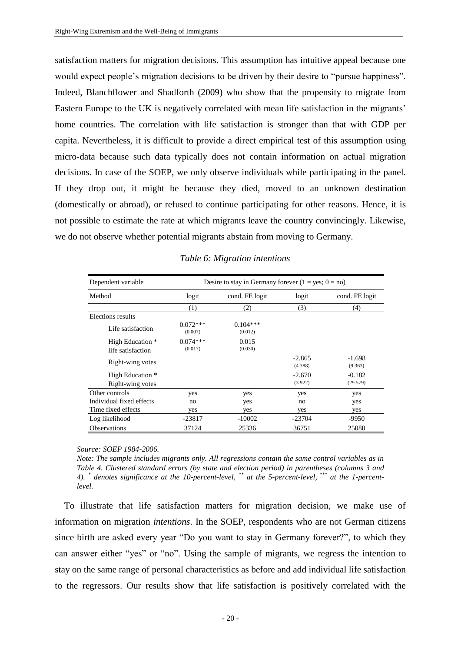satisfaction matters for migration decisions. This assumption has intuitive appeal because one would expect people's migration decisions to be driven by their desire to "pursue happiness". Indeed, Blanchflower and Shadforth (2009) who show that the propensity to migrate from Eastern Europe to the UK is negatively correlated with mean life satisfaction in the migrants' home countries. The correlation with life satisfaction is stronger than that with GDP per capita. Nevertheless, it is difficult to provide a direct empirical test of this assumption using micro-data because such data typically does not contain information on actual migration decisions. In case of the SOEP, we only observe individuals while participating in the panel. If they drop out, it might be because they died, moved to an unknown destination (domestically or abroad), or refused to continue participating for other reasons. Hence, it is not possible to estimate the rate at which migrants leave the country convincingly. Likewise, we do not observe whether potential migrants abstain from moving to Germany.

| Dependent variable       | Desire to stay in Germany forever $(1 = yes; 0 = no)$ |                       |                     |                     |  |  |  |  |  |  |
|--------------------------|-------------------------------------------------------|-----------------------|---------------------|---------------------|--|--|--|--|--|--|
| Method                   | logit                                                 | cond. FE logit        | logit               | cond. FE logit      |  |  |  |  |  |  |
|                          | (1)                                                   | (2)                   | (3)                 | (4)                 |  |  |  |  |  |  |
| Elections results        |                                                       |                       |                     |                     |  |  |  |  |  |  |
| Life satisfaction        | $0.072***$<br>(0.007)                                 | $0.104***$<br>(0.012) |                     |                     |  |  |  |  |  |  |
| High Education *         | $0.074***$                                            | 0.015                 |                     |                     |  |  |  |  |  |  |
| life satisfaction        | (0.017)                                               | (0.030)               |                     |                     |  |  |  |  |  |  |
| Right-wing votes         |                                                       |                       | $-2.865$<br>(4.388) | $-1.698$<br>(9.363) |  |  |  |  |  |  |
| High Education *         |                                                       |                       | $-2.670$            | $-0.182$            |  |  |  |  |  |  |
| Right-wing votes         |                                                       |                       | (3.922)             | (29.579)            |  |  |  |  |  |  |
| Other controls           | yes                                                   | yes                   | yes                 | yes                 |  |  |  |  |  |  |
| Individual fixed effects | no                                                    | yes                   | no                  | yes                 |  |  |  |  |  |  |
| Time fixed effects       | yes                                                   | ves                   | yes                 | yes                 |  |  |  |  |  |  |
| Log likelihood           | $-23817$                                              | $-10002$              | $-23704$            | $-9950$             |  |  |  |  |  |  |
| <b>Observations</b>      | 37124                                                 | 25336                 | 36751               | 25080               |  |  |  |  |  |  |

#### *Table 6: Migration intentions*

#### *Source: SOEP 1984-2006.*

*Note: The sample includes migrants only. All regressions contain the same control variables as in Table 4. Clustered standard errors (by state and election period) in parentheses (columns 3 and 4). \* denotes significance at the 10-percent-level, \*\* at the 5-percent-level, \*\*\* at the 1-percentlevel.*

To illustrate that life satisfaction matters for migration decision, we make use of information on migration *intentions*. In the SOEP, respondents who are not German citizens since birth are asked every year "Do you want to stay in Germany forever?", to which they can answer either "yes" or "no". Using the sample of migrants, we regress the intention to stay on the same range of personal characteristics as before and add individual life satisfaction to the regressors. Our results show that life satisfaction is positively correlated with the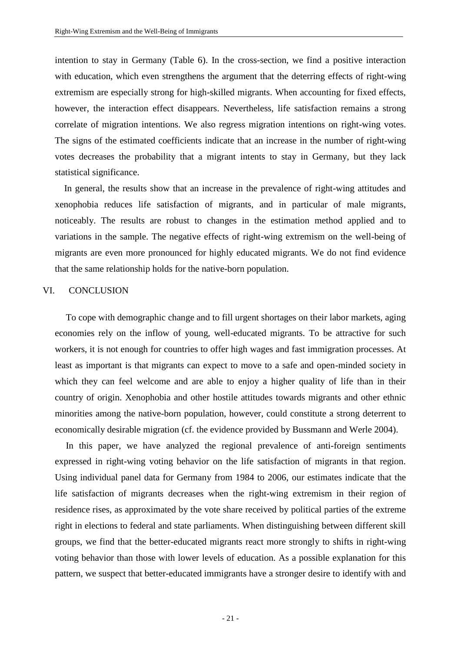intention to stay in Germany (Table 6). In the cross-section, we find a positive interaction with education, which even strengthens the argument that the deterring effects of right-wing extremism are especially strong for high-skilled migrants. When accounting for fixed effects, however, the interaction effect disappears. Nevertheless, life satisfaction remains a strong correlate of migration intentions. We also regress migration intentions on right-wing votes. The signs of the estimated coefficients indicate that an increase in the number of right-wing votes decreases the probability that a migrant intents to stay in Germany, but they lack statistical significance.

In general, the results show that an increase in the prevalence of right-wing attitudes and xenophobia reduces life satisfaction of migrants, and in particular of male migrants, noticeably. The results are robust to changes in the estimation method applied and to variations in the sample. The negative effects of right-wing extremism on the well-being of migrants are even more pronounced for highly educated migrants. We do not find evidence that the same relationship holds for the native-born population.

#### VI. CONCLUSION

To cope with demographic change and to fill urgent shortages on their labor markets, aging economies rely on the inflow of young, well-educated migrants. To be attractive for such workers, it is not enough for countries to offer high wages and fast immigration processes. At least as important is that migrants can expect to move to a safe and open-minded society in which they can feel welcome and are able to enjoy a higher quality of life than in their country of origin. Xenophobia and other hostile attitudes towards migrants and other ethnic minorities among the native-born population, however, could constitute a strong deterrent to economically desirable migration (cf. the evidence provided by Bussmann and Werle 2004).

In this paper, we have analyzed the regional prevalence of anti-foreign sentiments expressed in right-wing voting behavior on the life satisfaction of migrants in that region. Using individual panel data for Germany from 1984 to 2006, our estimates indicate that the life satisfaction of migrants decreases when the right-wing extremism in their region of residence rises, as approximated by the vote share received by political parties of the extreme right in elections to federal and state parliaments. When distinguishing between different skill groups, we find that the better-educated migrants react more strongly to shifts in right-wing voting behavior than those with lower levels of education. As a possible explanation for this pattern, we suspect that better-educated immigrants have a stronger desire to identify with and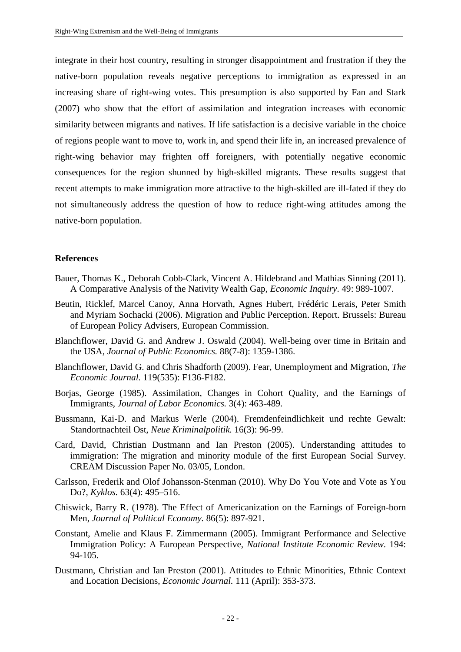integrate in their host country, resulting in stronger disappointment and frustration if they the native-born population reveals negative perceptions to immigration as expressed in an increasing share of right-wing votes. This presumption is also supported by Fan and Stark (2007) who show that the effort of assimilation and integration increases with economic similarity between migrants and natives. If life satisfaction is a decisive variable in the choice of regions people want to move to, work in, and spend their life in, an increased prevalence of right-wing behavior may frighten off foreigners, with potentially negative economic consequences for the region shunned by high-skilled migrants. These results suggest that recent attempts to make immigration more attractive to the high-skilled are ill-fated if they do not simultaneously address the question of how to reduce right-wing attitudes among the native-born population.

#### **References**

- Bauer, Thomas K., Deborah Cobb-Clark, Vincent A. Hildebrand and Mathias Sinning (2011). A Comparative Analysis of the Nativity Wealth Gap, *Economic Inquiry*. 49: 989-1007.
- Beutin, Ricklef, Marcel Canoy, Anna Horvath, Agnes Hubert, Frédéric Lerais, Peter Smith and Myriam Sochacki (2006). Migration and Public Perception. Report. Brussels: Bureau of European Policy Advisers, European Commission.
- Blanchflower, David G. and Andrew J. Oswald (2004). Well-being over time in Britain and the USA, *Journal of Public Economics.* 88(7-8): 1359-1386.
- Blanchflower, David G. and Chris Shadforth (2009). Fear, Unemployment and Migration, *The Economic Journal.* 119(535): F136-F182.
- Borjas, George (1985). Assimilation, Changes in Cohort Quality, and the Earnings of Immigrants, *Journal of Labor Economics.* 3(4): 463-489.
- Bussmann, Kai-D. and Markus Werle (2004). Fremdenfeindlichkeit und rechte Gewalt: Standortnachteil Ost, *Neue Kriminalpolitik.* 16(3): 96-99.
- Card, David, Christian Dustmann and Ian Preston (2005). Understanding attitudes to immigration: The migration and minority module of the first European Social Survey. CREAM Discussion Paper No. 03/05, London.
- Carlsson, Frederik and Olof Johansson-Stenman (2010). Why Do You Vote and Vote as You Do?, *Kyklos.* 63(4): 495–516.
- Chiswick, Barry R. (1978). The Effect of Americanization on the Earnings of Foreign-born Men, *Journal of Political Economy.* 86(5): 897-921.
- Constant, Amelie and Klaus F. Zimmermann (2005). Immigrant Performance and Selective Immigration Policy: A European Perspective, *National Institute Economic Review.* 194: 94-105.
- Dustmann, Christian and Ian Preston (2001). Attitudes to Ethnic Minorities, Ethnic Context and Location Decisions, *Economic Journal.* 111 (April): 353-373.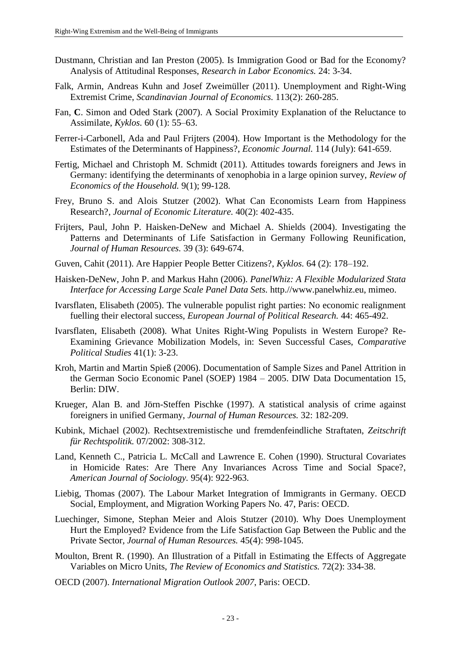- Dustmann, Christian and Ian Preston (2005). Is Immigration Good or Bad for the Economy? Analysis of Attitudinal Responses, *Research in Labor Economics.* 24: 3-34.
- Falk, Armin, Andreas Kuhn and Josef Zweimüller (2011). Unemployment and Right-Wing Extremist Crime, *Scandinavian Journal of Economics.* 113(2): 260-285.
- Fan, **C**. Simon and Oded Stark (2007). A Social Proximity Explanation of the Reluctance to Assimilate, *Kyklos.* 60 (1): 55–63.
- Ferrer-i-Carbonell, Ada and Paul Frijters (2004). How Important is the Methodology for the Estimates of the Determinants of Happiness?, *Economic Journal.* 114 (July): 641-659.
- Fertig, Michael and Christoph M. Schmidt (2011). Attitudes towards foreigners and Jews in Germany: identifying the determinants of xenophobia in a large opinion survey, *Review of Economics of the Household.* 9(1); 99-128.
- Frey, Bruno S. and Alois Stutzer (2002). What Can Economists Learn from Happiness Research?, *Journal of Economic Literature.* 40(2): 402-435.
- Frijters, Paul, John P. Haisken-DeNew and Michael A. Shields (2004). Investigating the Patterns and Determinants of Life Satisfaction in Germany Following Reunification, *Journal of Human Resources.* 39 (3): 649-674.
- Guven, Cahit (2011). Are Happier People Better Citizens?, *Kyklos.* 64 (2): 178–192.
- Haisken-DeNew, John P. and Markus Hahn (2006). *PanelWhiz: A Flexible Modularized Stata Interface for Accessing Large Scale Panel Data Sets.* http.//www.panelwhiz.eu, mimeo.
- Ivarsflaten, Elisabeth (2005). The vulnerable populist right parties: No economic realignment fuelling their electoral success, *European Journal of Political Research.* 44: 465-492.
- Ivarsflaten, Elisabeth (2008). What Unites Right-Wing Populists in Western Europe? Re-Examining Grievance Mobilization Models, in: Seven Successful Cases, *Comparative Political Studies* 41(1): 3-23.
- Kroh, Martin and Martin Spieß (2006). Documentation of Sample Sizes and Panel Attrition in the German Socio Economic Panel (SOEP) 1984 – 2005. DIW Data Documentation 15, Berlin: DIW.
- Krueger, Alan B. and Jörn-Steffen Pischke (1997). A statistical analysis of crime against foreigners in unified Germany, *Journal of Human Resources.* 32: 182-209.
- Kubink, Michael (2002). Rechtsextremistische und fremdenfeindliche Straftaten, *Zeitschrift für Rechtspolitik.* 07/2002: 308-312.
- Land, Kenneth C., Patricia L. McCall and Lawrence E. Cohen (1990). Structural Covariates in Homicide Rates: Are There Any Invariances Across Time and Social Space?, *American Journal of Sociology.* 95(4): 922-963.
- Liebig, Thomas (2007). The Labour Market Integration of Immigrants in Germany. OECD Social, Employment, and Migration Working Papers No. 47, Paris: OECD.
- Luechinger, Simone, Stephan Meier and Alois Stutzer (2010). Why Does Unemployment Hurt the Employed? Evidence from the Life Satisfaction Gap Between the Public and the Private Sector, *Journal of Human Resources.* 45(4): 998-1045.
- Moulton, Brent R. (1990). An Illustration of a Pitfall in Estimating the Effects of Aggregate Variables on Micro Units, *The Review of Economics and Statistics.* 72(2): 334-38.
- OECD (2007). *International Migration Outlook 2007*, Paris: OECD.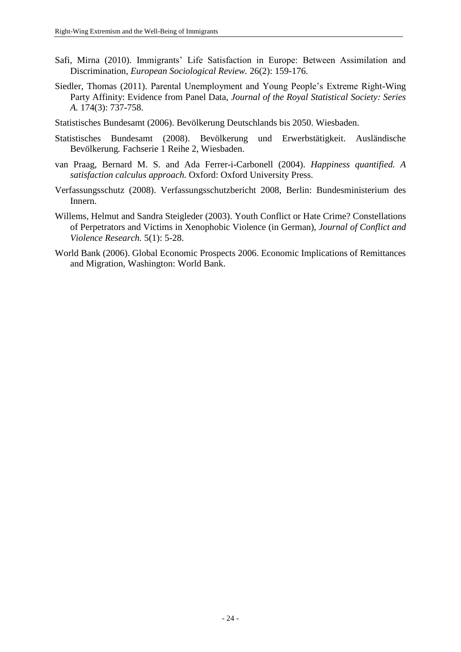- Safi, Mirna (2010). Immigrants' Life Satisfaction in Europe: Between Assimilation and Discrimination, *European Sociological Review.* 26(2): 159-176.
- Siedler, Thomas (2011). Parental Unemployment and Young People's Extreme Right-Wing Party Affinity: Evidence from Panel Data, *Journal of the Royal Statistical Society: Series A.* 174(3): 737-758.
- Statistisches Bundesamt (2006). Bevölkerung Deutschlands bis 2050. Wiesbaden.
- Statistisches Bundesamt (2008). Bevölkerung und Erwerbstätigkeit. Ausländische Bevölkerung*.* Fachserie 1 Reihe 2, Wiesbaden.
- van Praag, Bernard M. S. and Ada Ferrer-i-Carbonell (2004). *Happiness quantified. A satisfaction calculus approach.* Oxford: Oxford University Press.
- Verfassungsschutz (2008). Verfassungsschutzbericht 2008, Berlin: Bundesministerium des Innern.
- Willems, Helmut and Sandra Steigleder (2003). Youth Conflict or Hate Crime? Constellations of Perpetrators and Victims in Xenophobic Violence (in German), *Journal of Conflict and Violence Research.* 5(1): 5-28.
- World Bank (2006). Global Economic Prospects 2006. Economic Implications of Remittances and Migration, Washington: World Bank.